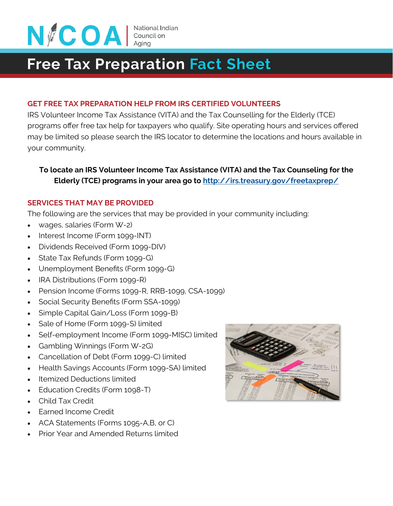

# **Free Tax Preparation Fact Sheet**

#### **GET FREE TAX PREPARATION HELP FROM IRS CERTIFIED VOLUNTEERS**

IRS Volunteer Income Tax Assistance (VITA) and the Tax Counselling for the Elderly (TCE) programs offer free tax help for taxpayers who qualify. Site operating hours and services offered may be limited so please search the IRS locator to determine the locations and hours available in your community.

## **To locate an IRS Volunteer Income Tax Assistance (VITA) and the Tax Counseling for the Elderly (TCE) programs in your area go to [http://irs.treasury.gov/freetaxprep/](https://irs.treasury.gov/freetaxprep/)**

#### **SERVICES THAT MAY BE PROVIDED**

The following are the services that may be provided in your community including:

- wages, salaries (Form W-2)
- Interest Income (Form 1099-INT)
- Dividends Received (Form 1099-DIV)
- State Tax Refunds (Form 1099-G)
- Unemployment Benefits (Form 1099-G)
- IRA Distributions (Form 1099-R)
- Pension Income (Forms 1099-R, RRB-1099, CSA-1099)
- Social Security Benefits (Form SSA-1099)
- Simple Capital Gain/Loss (Form 1099-B)
- Sale of Home (Form 1099-S) limited
- Self-employment Income (Form 1099-MISC) limited
- Gambling Winnings (Form W-2G)
- Cancellation of Debt (Form 1099-C) limited
- Health Savings Accounts (Form 1099-SA) limited
- **Itemized Deductions limited**
- Education Credits (Form 1098-T)
- Child Tax Credit
- Earned Income Credit
- ACA Statements (Forms 1095-A, B, or C)
- Prior Year and Amended Returns limited